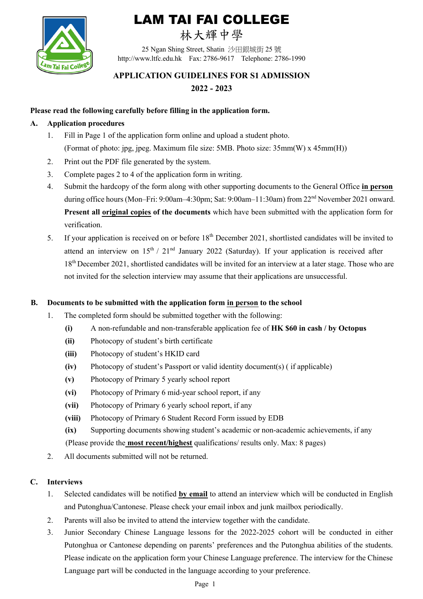

# LAM TAI FAI COLLEGE

## 林大輝中學

25 Ngan Shing Street, Shatin 沙田銀城街 25 號 http://www.ltfc.edu.hk Fax: 2786-9617 Telephone: 2786-1990

### **APPLICATION GUIDELINES FOR S1 ADMISSION 2022 - 2023**

#### **Please read the following carefully before filling in the application form.**

#### **A. Application procedures**

- 1. Fill in Page 1 of the application form online and upload a student photo. (Format of photo: jpg, jpeg. Maximum file size: 5MB. Photo size: 35mm(W) x 45mm(H))
- 2. Print out the PDF file generated by the system.
- 3. Complete pages 2 to 4 of the application form in writing.
- 4. Submit the hardcopy of the form along with other supporting documents to the General Office **in person** during office hours (Mon–Fri: 9:00am–4:30pm; Sat: 9:00am–11:30am) from 22<sup>nd</sup> November 2021 onward. **Present all original copies of the documents** which have been submitted with the application form for verification.
- 5. If your application is received on or before 18<sup>th</sup> December 2021, shortlisted candidates will be invited to attend an interview on  $15<sup>th</sup>$  /  $21<sup>nd</sup>$  January 2022 (Saturday). If your application is received after 18<sup>th</sup> December 2021, shortlisted candidates will be invited for an interview at a later stage. Those who are not invited for the selection interview may assume that their applications are unsuccessful.

#### **B. Documents to be submitted with the application form in person to the school**

- 1. The completed form should be submitted together with the following:
	- **(i)** A non-refundable and non-transferable application fee of **HK \$60 in cash / by Octopus**
	- **(ii)** Photocopy of student's birth certificate
	- **(iii)** Photocopy of student's HKID card
	- **(iv)** Photocopy of student's Passport or valid identity document(s) ( if applicable)
	- **(v)** Photocopy of Primary 5 yearly school report
	- **(vi)** Photocopy of Primary 6 mid-year school report, if any
	- **(vii)** Photocopy of Primary 6 yearly school report, if any
	- **(viii)** Photocopy of Primary 6 Student Record Form issued by EDB
	- **(ix)** Supporting documents showing student's academic or non-academic achievements, if any

(Please provide the **most recent/highest** qualifications/ results only. Max: 8 pages)

2. All documents submitted will not be returned.

#### **C. Interviews**

- 1. Selected candidates will be notified **by email** to attend an interview which will be conducted in English and Putonghua/Cantonese. Please check your email inbox and junk mailbox periodically.
- 2. Parents will also be invited to attend the interview together with the candidate.
- 3. Junior Secondary Chinese Language lessons for the 2022-2025 cohort will be conducted in either Putonghua or Cantonese depending on parents' preferences and the Putonghua abilities of the students. Please indicate on the application form your Chinese Language preference. The interview for the Chinese Language part will be conducted in the language according to your preference.